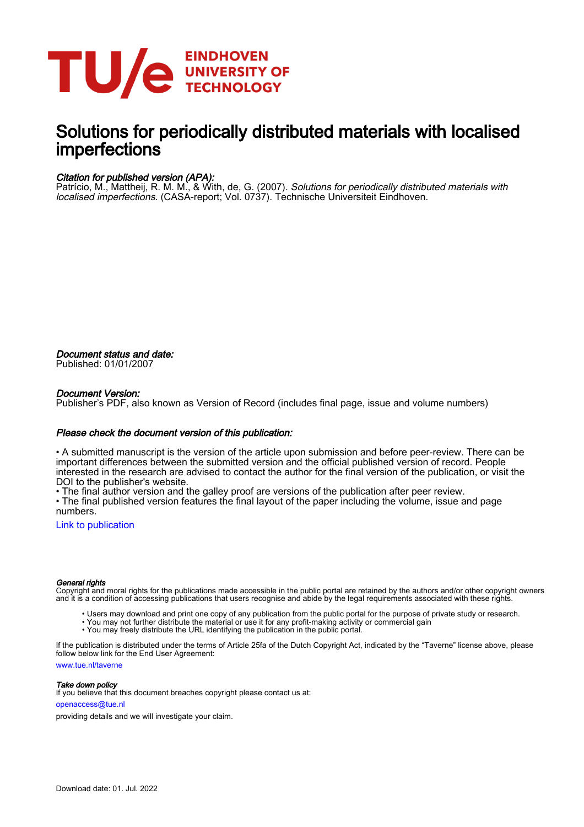

# Solutions for periodically distributed materials with localised imperfections

### Citation for published version (APA):

Patrício, M., Mattheij, R. M. M., & With, de, G. (2007). Solutions for periodically distributed materials with localised imperfections. (CASA-report; Vol. 0737). Technische Universiteit Eindhoven.

Document status and date: Published: 01/01/2007

#### Document Version:

Publisher's PDF, also known as Version of Record (includes final page, issue and volume numbers)

#### Please check the document version of this publication:

• A submitted manuscript is the version of the article upon submission and before peer-review. There can be important differences between the submitted version and the official published version of record. People interested in the research are advised to contact the author for the final version of the publication, or visit the DOI to the publisher's website.

• The final author version and the galley proof are versions of the publication after peer review.

• The final published version features the final layout of the paper including the volume, issue and page numbers.

[Link to publication](https://research.tue.nl/en/publications/e2529595-26b5-452b-a351-5a9248ffb953)

#### General rights

Copyright and moral rights for the publications made accessible in the public portal are retained by the authors and/or other copyright owners and it is a condition of accessing publications that users recognise and abide by the legal requirements associated with these rights.

- Users may download and print one copy of any publication from the public portal for the purpose of private study or research.
- You may not further distribute the material or use it for any profit-making activity or commercial gain
- You may freely distribute the URL identifying the publication in the public portal.

If the publication is distributed under the terms of Article 25fa of the Dutch Copyright Act, indicated by the "Taverne" license above, please follow below link for the End User Agreement:

www.tue.nl/taverne

**Take down policy**<br>If you believe that this document breaches copyright please contact us at:

openaccess@tue.nl

providing details and we will investigate your claim.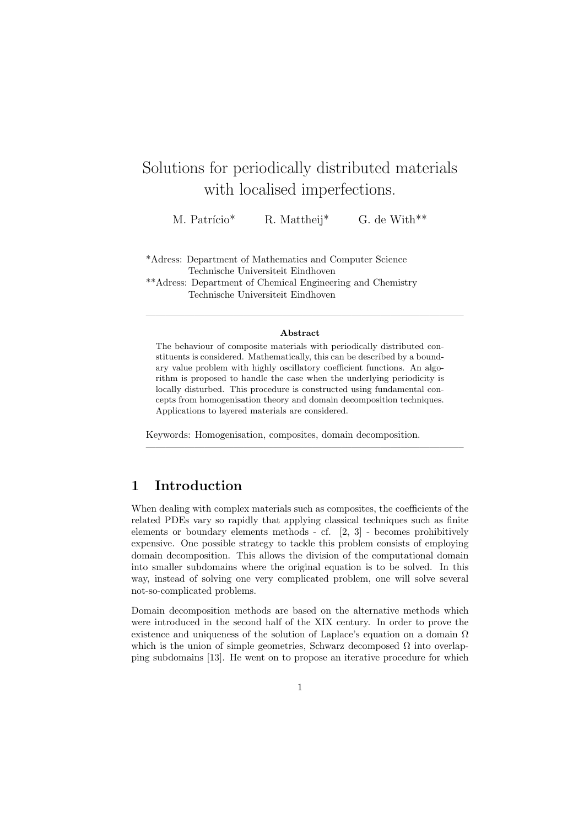# Solutions for periodically distributed materials with localised imperfections.

M. Patrício<sup>\*</sup> R. Mattheij<sup>\*</sup> G. de With<sup>\*\*</sup>

\*Adress: Department of Mathematics and Computer Science Technische Universiteit Eindhoven

\*\*Adress: Department of Chemical Engineering and Chemistry Technische Universiteit Eindhoven

#### Abstract

————————————————————————————————–

The behaviour of composite materials with periodically distributed constituents is considered. Mathematically, this can be described by a boundary value problem with highly oscillatory coefficient functions. An algorithm is proposed to handle the case when the underlying periodicity is locally disturbed. This procedure is constructed using fundamental concepts from homogenisation theory and domain decomposition techniques. Applications to layered materials are considered.

————————————————————————————————–

Keywords: Homogenisation, composites, domain decomposition.

# 1 Introduction

When dealing with complex materials such as composites, the coefficients of the related PDEs vary so rapidly that applying classical techniques such as finite elements or boundary elements methods - cf. [2, 3] - becomes prohibitively expensive. One possible strategy to tackle this problem consists of employing domain decomposition. This allows the division of the computational domain into smaller subdomains where the original equation is to be solved. In this way, instead of solving one very complicated problem, one will solve several not-so-complicated problems.

Domain decomposition methods are based on the alternative methods which were introduced in the second half of the XIX century. In order to prove the existence and uniqueness of the solution of Laplace's equation on a domain  $\Omega$ which is the union of simple geometries, Schwarz decomposed  $\Omega$  into overlapping subdomains [13]. He went on to propose an iterative procedure for which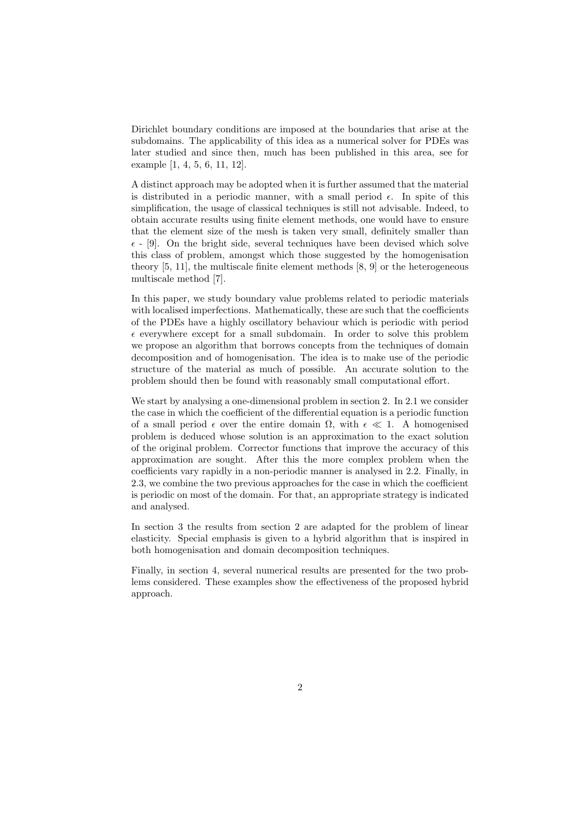Dirichlet boundary conditions are imposed at the boundaries that arise at the subdomains. The applicability of this idea as a numerical solver for PDEs was later studied and since then, much has been published in this area, see for example [1, 4, 5, 6, 11, 12].

A distinct approach may be adopted when it is further assumed that the material is distributed in a periodic manner, with a small period  $\epsilon$ . In spite of this simplification, the usage of classical techniques is still not advisable. Indeed, to obtain accurate results using finite element methods, one would have to ensure that the element size of the mesh is taken very small, definitely smaller than  $\epsilon$  - [9]. On the bright side, several techniques have been devised which solve this class of problem, amongst which those suggested by the homogenisation theory  $[5, 11]$ , the multiscale finite element methods  $[8, 9]$  or the heterogeneous multiscale method [7].

In this paper, we study boundary value problems related to periodic materials with localised imperfections. Mathematically, these are such that the coefficients of the PDEs have a highly oscillatory behaviour which is periodic with period  $\epsilon$  everywhere except for a small subdomain. In order to solve this problem we propose an algorithm that borrows concepts from the techniques of domain decomposition and of homogenisation. The idea is to make use of the periodic structure of the material as much of possible. An accurate solution to the problem should then be found with reasonably small computational effort.

We start by analysing a one-dimensional problem in section 2. In 2.1 we consider the case in which the coefficient of the differential equation is a periodic function of a small period  $\epsilon$  over the entire domain  $\Omega$ , with  $\epsilon \ll 1$ . A homogenised problem is deduced whose solution is an approximation to the exact solution of the original problem. Corrector functions that improve the accuracy of this approximation are sought. After this the more complex problem when the coefficients vary rapidly in a non-periodic manner is analysed in 2.2. Finally, in 2.3, we combine the two previous approaches for the case in which the coefficient is periodic on most of the domain. For that, an appropriate strategy is indicated and analysed.

In section 3 the results from section 2 are adapted for the problem of linear elasticity. Special emphasis is given to a hybrid algorithm that is inspired in both homogenisation and domain decomposition techniques.

Finally, in section 4, several numerical results are presented for the two problems considered. These examples show the effectiveness of the proposed hybrid approach.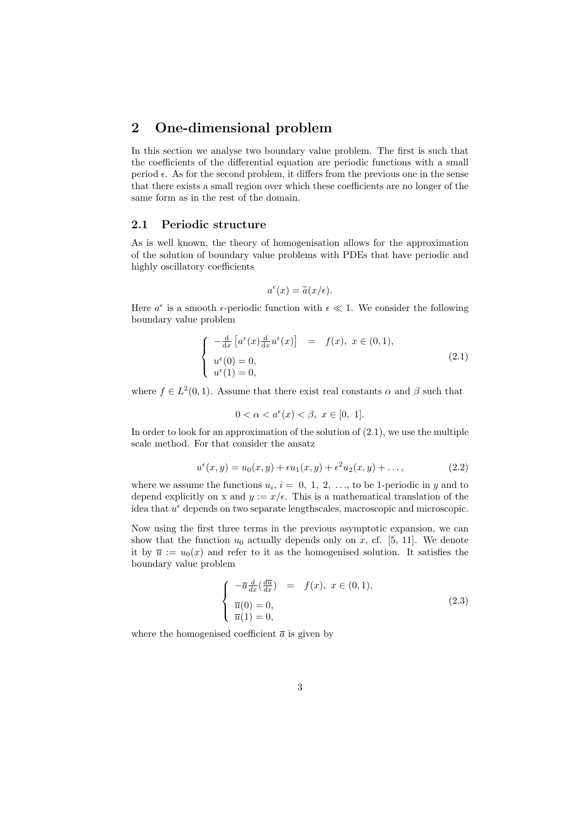# 2 One-dimensional problem

In this section we analyse two boundary value problem. The first is such that the coefficients of the differential equation are periodic functions with a small period  $\epsilon$ . As for the second problem, it differs from the previous one in the sense that there exists a small region over which these coefficients are no longer of the same form as in the rest of the domain.

### 2.1 Periodic structure

As is well known, the theory of homogenisation allows for the approximation of the solution of boundary value problems with PDEs that have periodic and highly oscillatory coefficients

$$
a^{\epsilon}(x) = \tilde{a}(x/\epsilon).
$$

Here  $a^{\epsilon}$  is a smooth  $\epsilon$ -periodic function with  $\epsilon \ll 1$ . We consider the following boundary value problem

$$
\begin{cases}\n-\frac{\mathrm{d}}{\mathrm{d}x} \left[ a^{\epsilon}(x) \frac{\mathrm{d}}{\mathrm{d}x} u^{\epsilon}(x) \right] = f(x), & x \in (0,1), \\
u^{\epsilon}(0) = 0, \\
u^{\epsilon}(1) = 0,\n\end{cases} (2.1)
$$

where  $f \in L^2(0,1)$ . Assume that there exist real constants  $\alpha$  and  $\beta$  such that

$$
0 < \alpha < a^{\epsilon}(x) < \beta, \ x \in [0, \ 1].
$$

In order to look for an approximation of the solution of  $(2.1)$ , we use the multiple scale method. For that consider the ansatz

$$
u^{\epsilon}(x, y) = u_0(x, y) + \epsilon u_1(x, y) + \epsilon^2 u_2(x, y) + \dots,
$$
 (2.2)

where we assume the functions  $u_i$ ,  $i = 0, 1, 2, \ldots$ , to be 1-periodic in y and to depend explicitly on x and  $y := x/\epsilon$ . This is a mathematical translation of the idea that  $u^{\epsilon}$  depends on two separate lengthscales, macroscopic and microscopic.

Now using the first three terms in the previous asymptotic expansion, we can show that the function  $u_0$  actually depends only on x, cf. [5, 11]. We denote it by  $\bar{u} := u_0(x)$  and refer to it as the homogenised solution. It satisfies the boundary value problem

$$
\begin{cases}\n-\overline{a}\frac{d}{dx}(\frac{d\overline{u}}{dx}) = f(x), \ x \in (0,1), \\
\overline{u}(0) = 0, \\
\overline{u}(1) = 0,\n\end{cases}
$$
\n(2.3)

where the homogenised coefficient  $\bar{a}$  is given by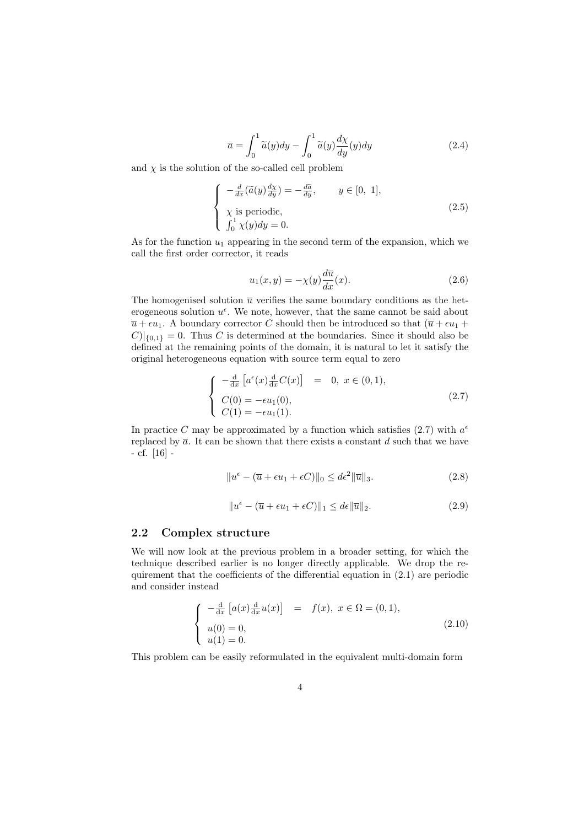$$
\overline{a} = \int_0^1 \widetilde{a}(y) dy - \int_0^1 \widetilde{a}(y) \frac{d\chi}{dy}(y) dy \qquad (2.4)
$$

and  $\chi$  is the solution of the so-called cell problem

$$
\begin{cases}\n-\frac{d}{dx}(\tilde{a}(y)\frac{d\chi}{dy}) = -\frac{d\tilde{a}}{dy}, & y \in [0, 1], \\
\chi \text{ is periodic}, \\
\int_0^1 \chi(y)dy = 0.\n\end{cases}
$$
\n(2.5)

As for the function  $u_1$  appearing in the second term of the expansion, which we call the first order corrector, it reads

$$
u_1(x,y) = -\chi(y)\frac{d\overline{u}}{dx}(x).
$$
 (2.6)

The homogenised solution  $\bar{u}$  verifies the same boundary conditions as the heterogeneous solution  $u^{\epsilon}$ . We note, however, that the same cannot be said about  $\overline{u} + \epsilon u_1$ . A boundary corrector C should then be introduced so that  $(\overline{u} + \epsilon u_1 + \epsilon u_2)$  $|C|_{\{0,1\}} = 0$ . Thus C is determined at the boundaries. Since it should also be defined at the remaining points of the domain, it is natural to let it satisfy the original heterogeneous equation with source term equal to zero

$$
\begin{cases}\n-\frac{d}{dx} \left[ a^{\epsilon}(x) \frac{d}{dx} C(x) \right] = 0, \ x \in (0, 1), \\
C(0) = -\epsilon u_1(0), \\
C(1) = -\epsilon u_1(1).\n\end{cases} (2.7)
$$

In practice C may be approximated by a function which satisfies (2.7) with  $a^{\epsilon}$ replaced by  $\bar{a}$ . It can be shown that there exists a constant d such that we have - cf. [16] -

$$
||u^{\epsilon} - (\overline{u} + \epsilon u_1 + \epsilon C)||_0 \le d\epsilon^2 ||\overline{u}||_3.
$$
 (2.8)

$$
||u^{\epsilon} - (\overline{u} + \epsilon u_1 + \epsilon C)||_1 \le d\epsilon ||\overline{u}||_2.
$$
 (2.9)

#### 2.2 Complex structure

We will now look at the previous problem in a broader setting, for which the technique described earlier is no longer directly applicable. We drop the requirement that the coefficients of the differential equation in (2.1) are periodic and consider instead

$$
\begin{cases}\n-\frac{d}{dx} [a(x) \frac{d}{dx} u(x)] = f(x), & x \in \Omega = (0, 1), \\
u(0) = 0, \\
u(1) = 0.\n\end{cases}
$$
\n(2.10)

This problem can be easily reformulated in the equivalent multi-domain form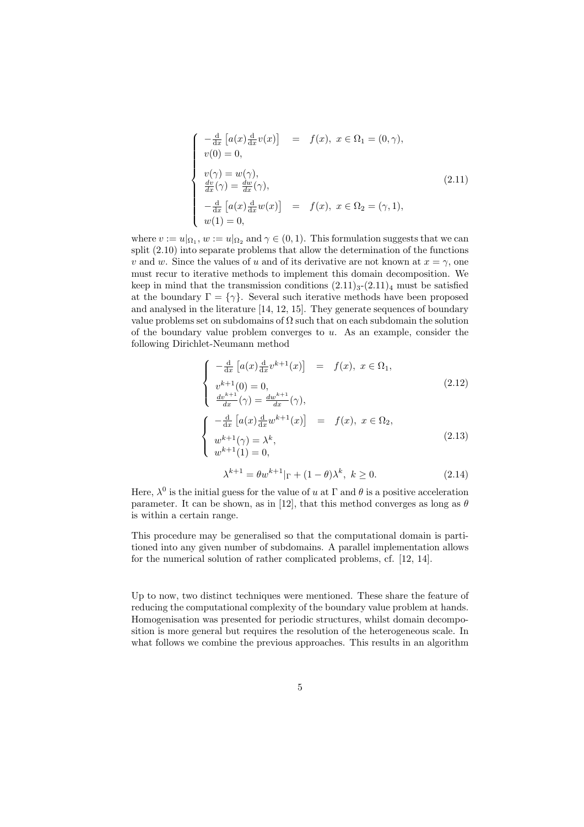$$
\begin{cases}\n-\frac{d}{dx}\left[a(x)\frac{d}{dx}v(x)\right] = f(x), & x \in \Omega_1 = (0, \gamma), \\
v(0) = 0, & \\
v(\gamma) = w(\gamma), & \\
\frac{dv}{dx}(\gamma) = \frac{dw}{dx}(\gamma), & \\
-\frac{d}{dx}\left[a(x)\frac{d}{dx}w(x)\right] = f(x), & x \in \Omega_2 = (\gamma, 1), \\
w(1) = 0,\n\end{cases}
$$
\n(2.11)

where  $v := u|_{\Omega_1}$ ,  $w := u|_{\Omega_2}$  and  $\gamma \in (0, 1)$ . This formulation suggests that we can split (2.10) into separate problems that allow the determination of the functions v and w. Since the values of u and of its derivative are not known at  $x = \gamma$ , one must recur to iterative methods to implement this domain decomposition. We keep in mind that the transmission conditions  $(2.11)<sub>3</sub>-(2.11)<sub>4</sub>$  must be satisfied at the boundary  $\Gamma = \{ \gamma \}$ . Several such iterative methods have been proposed and analysed in the literature [14, 12, 15]. They generate sequences of boundary value problems set on subdomains of  $\Omega$  such that on each subdomain the solution of the boundary value problem converges to  $u$ . As an example, consider the following Dirichlet-Neumann method

$$
\begin{cases}\n-\frac{d}{dx}\left[a(x)\frac{d}{dx}v^{k+1}(x)\right] = f(x), \ x \in \Omega_1, \\
v^{k+1}(0) = 0, \\
\frac{dv^{k+1}}{dx}(\gamma) = \frac{dw^{k+1}}{dx}(\gamma), \\
\begin{cases}\n-\frac{d}{dx}\left[a(x)\frac{d}{dx}w^{k+1}(x)\right] = f(x), \ x \in \Omega_2, \\
w^{k+1}(\gamma) = \lambda^k, \\
w^{k+1}(1) = 0,\n\end{cases}\n\end{cases}
$$
\n(2.13)

$$
\lambda^{k+1} = \theta w^{k+1} |_{\Gamma} + (1 - \theta) \lambda^k, \ k \ge 0.
$$
 (2.14)

Here,  $\lambda^0$  is the initial guess for the value of u at  $\Gamma$  and  $\theta$  is a positive acceleration parameter. It can be shown, as in [12], that this method converges as long as  $\theta$ is within a certain range.

This procedure may be generalised so that the computational domain is partitioned into any given number of subdomains. A parallel implementation allows for the numerical solution of rather complicated problems, cf. [12, 14].

Up to now, two distinct techniques were mentioned. These share the feature of reducing the computational complexity of the boundary value problem at hands. Homogenisation was presented for periodic structures, whilst domain decomposition is more general but requires the resolution of the heterogeneous scale. In what follows we combine the previous approaches. This results in an algorithm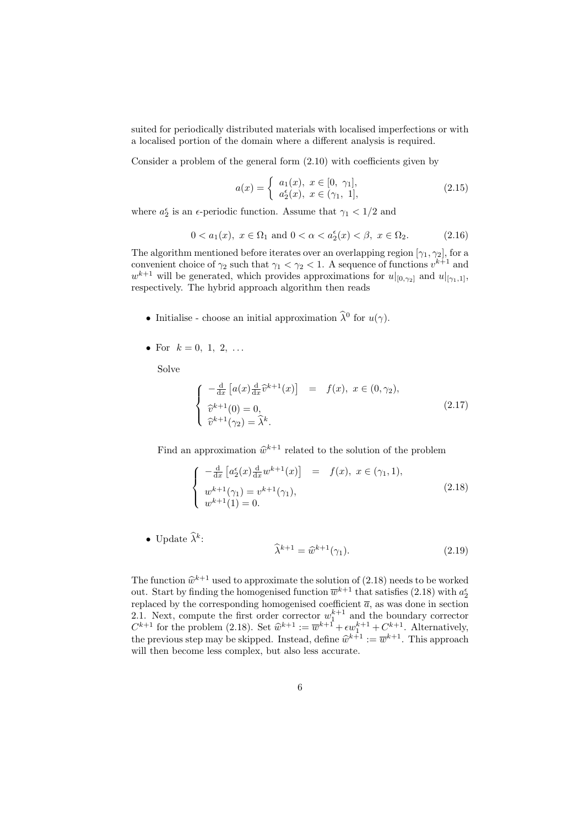suited for periodically distributed materials with localised imperfections or with a localised portion of the domain where a different analysis is required.

Consider a problem of the general form (2.10) with coefficients given by

$$
a(x) = \begin{cases} a_1(x), & x \in [0, \gamma_1], \\ a_2^{\epsilon}(x), & x \in (\gamma_1, 1], \end{cases}
$$
 (2.15)

where  $a_2^{\epsilon}$  is an  $\epsilon$ -periodic function. Assume that  $\gamma_1 < 1/2$  and

$$
0 < a_1(x), \ x \in \Omega_1 \text{ and } 0 < \alpha < a_2^{\epsilon}(x) < \beta, \ x \in \Omega_2. \tag{2.16}
$$

The algorithm mentioned before iterates over an overlapping region  $[\gamma_1, \gamma_2]$ , for a convenient choice of  $\gamma_2$  such that  $\gamma_1 < \gamma_2 < 1$ . A sequence of functions  $v^{k+1}$  and  $w^{k+1}$  will be generated, which provides approximations for  $u|_{[0,\gamma_2]}$  and  $u|_{[\gamma_1,1]},$ respectively. The hybrid approach algorithm then reads

- Initialise choose an initial approximation  $\widehat{\lambda}^0$  for  $u(\gamma)$ .
- For  $k = 0, 1, 2, ...$

Solve

$$
\begin{cases}\n-\frac{\mathrm{d}}{\mathrm{d}x} \left[ a(x) \frac{\mathrm{d}}{\mathrm{d}x} \widehat{v}^{k+1}(x) \right] & = f(x), \ x \in (0, \gamma_2), \\
\widehat{v}^{k+1}(0) = 0, \\
\widehat{v}^{k+1}(\gamma_2) = \widehat{\lambda}^k.\n\end{cases}
$$
\n(2.17)

Find an approximation  $\hat{w}^{k+1}$  related to the solution of the problem

$$
\begin{cases}\n-\frac{d}{dx}\left[a_2^{\epsilon}(x)\frac{d}{dx}w^{k+1}(x)\right] = f(x), & x \in (\gamma_1, 1), \\
w^{k+1}(\gamma_1) = v^{k+1}(\gamma_1), \\
w^{k+1}(1) = 0.\n\end{cases}
$$
\n(2.18)

• Update  $\widehat{\lambda}^k$ :

$$
\widehat{\lambda}^{k+1} = \widehat{w}^{k+1}(\gamma_1). \tag{2.19}
$$

The function  $\hat{w}^{k+1}$  used to approximate the solution of (2.18) needs to be worked out. Start by finding the homogenised function  $\overline{w}^{k+1}$  that satisfies (2.18) with  $a_2^{\epsilon}$ replaced by the corresponding homogenised coefficient  $\overline{a}$ , as was done in section 2.1. Next, compute the first order corrector  $w_1^{k+1}$  and the boundary corrector  $C^{k+1}$  for the problem (2.18). Set  $\hat{w}^{k+1} := \overline{w}^{k+1} + \epsilon w_1^{k+1} + C^{k+1}$ . Alternatively, the previous step may be skipped. Instead, define  $\hat{w}^{k+1} := \overline{w}^{k+1}$ . This approach will then become less complex, but also less accurate.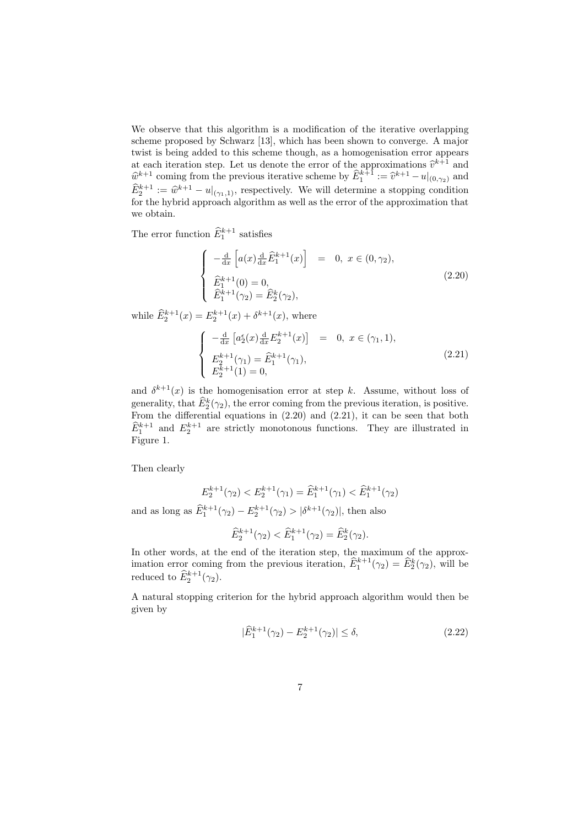We observe that this algorithm is a modification of the iterative overlapping scheme proposed by Schwarz [13], which has been shown to converge. A major twist is being added to this scheme though, as a homogenisation error appears at each iteration step. Let us denote the error of the approximations  $\hat{v}^{k+1}$  and  $\hat{w}^{k+1}$  coming from the previous iterative scheme by  $\hat{E}_1^{k+1} := \hat{v}^{k+1} - u|_{(0,\gamma_2)}$  and  $\widehat{E}_2^{k+1} := \widehat{w}^{k+1} - u|_{(\gamma_1,1)}$ , respectively. We will determine a stopping condition for the hybrid approach algorithm as well as the error of the approximation that we obtain.

The error function  $\widehat{E}_1^{k+1}$  satisfies

$$
\begin{cases}\n-\frac{d}{dx}\left[a(x)\frac{d}{dx}\hat{E}_1^{k+1}(x)\right] = 0, \ x \in (0, \gamma_2), \\
\hat{E}_1^{k+1}(0) = 0, \\
\hat{E}_1^{k+1}(\gamma_2) = \hat{E}_2^k(\gamma_2),\n\end{cases}
$$
\n(2.20)

while  $\widehat{E}_{2}^{k+1}(x) = E_{2}^{k+1}(x) + \delta^{k+1}(x)$ , where

$$
\begin{cases}\n-\frac{d}{dx}\left[a_2^{\epsilon}(x)\frac{d}{dx}E_2^{k+1}(x)\right] = 0, \ x \in (\gamma_1, 1), \\
E_2^{k+1}(\gamma_1) = \widehat{E}_1^{k+1}(\gamma_1), \\
E_2^{k+1}(1) = 0,\n\end{cases}
$$
\n(2.21)

and  $\delta^{k+1}(x)$  is the homogenisation error at step k. Assume, without loss of generality, that  $\widehat{E}^k_2(\gamma_2)$ , the error coming from the previous iteration, is positive. From the differential equations in (2.20) and (2.21), it can be seen that both  $\widehat{E}_1^{k+1}$  and  $E_2^{k+1}$  are strictly monotonous functions. They are illustrated in Figure 1.

Then clearly

and as long

$$
E_2^{k+1}(\gamma_2) < E_2^{k+1}(\gamma_1) = \widehat{E}_1^{k+1}(\gamma_1) < \widehat{E}_1^{k+1}(\gamma_2)
$$
\ng as  $\widehat{E}_1^{k+1}(\gamma_2) - E_2^{k+1}(\gamma_2) > |\delta^{k+1}(\gamma_2)|$ , then also

$$
\widehat{E}_{2}^{k+1}(\gamma_{2}) < \widehat{E}_{1}^{k+1}(\gamma_{2}) = \widehat{E}_{2}^{k}(\gamma_{2}).
$$

In other words, at the end of the iteration step, the maximum of the approximation error coming from the previous iteration,  $\widehat{E}_1^{k+1}(\gamma_2) = \widehat{E}_2^k(\gamma_2)$ , will be reduced to  $\widehat{E}_2^{k+1}(\gamma_2)$ .

A natural stopping criterion for the hybrid approach algorithm would then be given by

$$
|\widehat{E}_1^{k+1}(\gamma_2) - E_2^{k+1}(\gamma_2)| \le \delta,
$$
\n(2.22)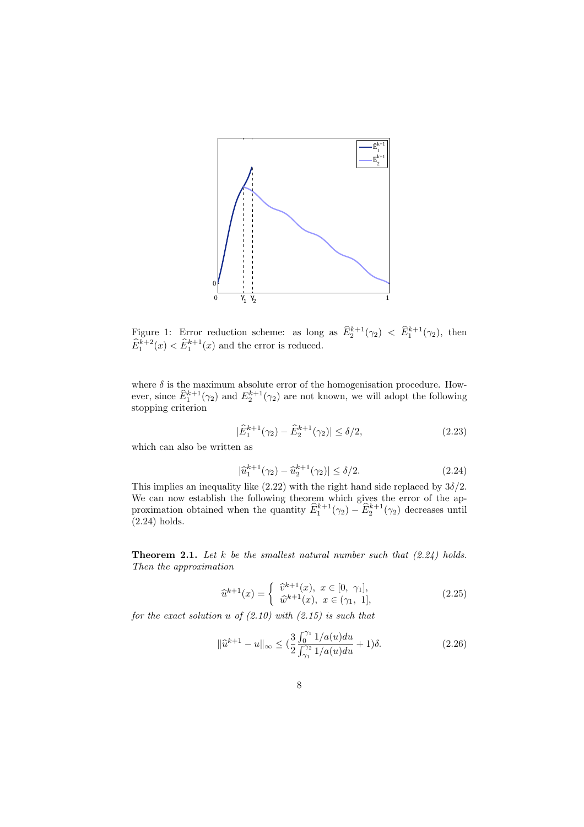

Figure 1: Error reduction scheme: as long as  $\hat{E}_2^{k+1}(\gamma_2) < \hat{E}_1^{k+1}(\gamma_2)$ , then  $\widehat{E}_1^{k+2}(x) < \widehat{E}_1^{k+1}(x)$  and the error is reduced.

where  $\delta$  is the maximum absolute error of the homogenisation procedure. However, since  $\widehat{E}_1^{k+1}(\gamma_2)$  and  $E_2^{k+1}(\gamma_2)$  are not known, we will adopt the following stopping criterion

$$
|\hat{E}_1^{k+1}(\gamma_2) - \hat{E}_2^{k+1}(\gamma_2)| \le \delta/2, \tag{2.23}
$$

which can also be written as

$$
|\hat{u}_1^{k+1}(\gamma_2) - \hat{u}_2^{k+1}(\gamma_2)| \le \delta/2.
$$
 (2.24)

This implies an inequality like (2.22) with the right hand side replaced by  $3\delta/2$ . We can now establish the following theorem which gives the error of the approximation obtained when the quantity  $\hat{E}_1^{k+1}(\gamma_2) - \hat{E}_2^{k+1}(\gamma_2)$  decreases until (2.24) holds.

**Theorem 2.1.** Let k be the smallest natural number such that  $(2.24)$  holds. Then the approximation

$$
\widehat{u}^{k+1}(x) = \begin{cases} \widehat{v}^{k+1}(x), & x \in [0, \gamma_1], \\ \widehat{w}^{k+1}(x), & x \in (\gamma_1, 1], \end{cases}
$$
\n(2.25)

for the exact solution u of  $(2.10)$  with  $(2.15)$  is such that

$$
\|\hat{u}^{k+1} - u\|_{\infty} \le \left(\frac{3}{2} \frac{\int_{0}^{\gamma_1} 1/a(u) du}{\int_{\gamma_1}^{\gamma_2} 1/a(u) du} + 1\right)\delta.
$$
 (2.26)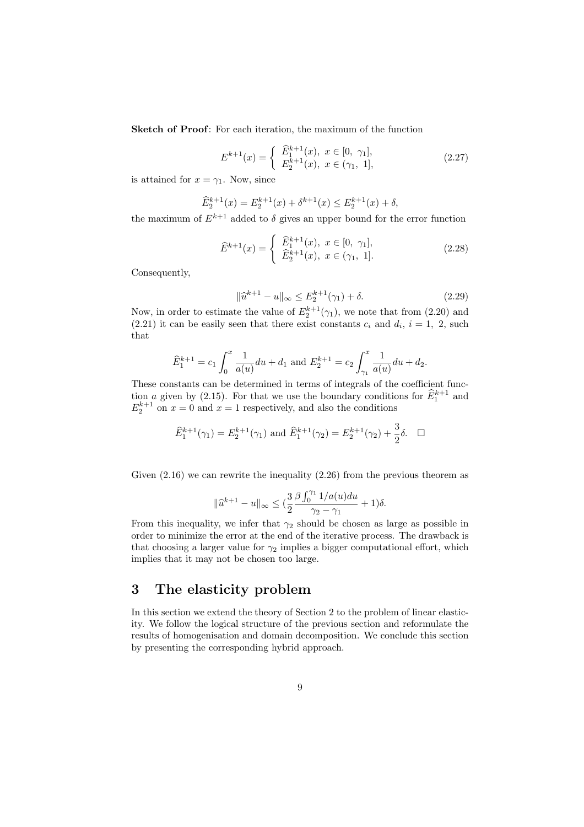Sketch of Proof: For each iteration, the maximum of the function

$$
E^{k+1}(x) = \begin{cases} \widehat{E}_1^{k+1}(x), & x \in [0, \gamma_1], \\ E_2^{k+1}(x), & x \in (\gamma_1, 1], \end{cases}
$$
(2.27)

is attained for  $x = \gamma_1$ . Now, since

$$
\widehat{E}_2^{k+1}(x) = E_2^{k+1}(x) + \delta^{k+1}(x) \le E_2^{k+1}(x) + \delta,
$$

the maximum of  $E^{k+1}$  added to  $\delta$  gives an upper bound for the error function

$$
\widehat{E}^{k+1}(x) = \begin{cases} \widehat{E}_1^{k+1}(x), & x \in [0, \gamma_1], \\ \widehat{E}_2^{k+1}(x), & x \in (\gamma_1, 1]. \end{cases}
$$
\n(2.28)

Consequently,

$$
\|\hat{u}^{k+1} - u\|_{\infty} \le E_2^{k+1}(\gamma_1) + \delta. \tag{2.29}
$$

Now, in order to estimate the value of  $E_2^{k+1}(\gamma_1)$ , we note that from (2.20) and  $(2.21)$  it can be easily seen that there exist constants  $c_i$  and  $d_i$ ,  $i = 1, 2$ , such that

$$
\widehat{E}_1^{k+1} = c_1 \int_0^x \frac{1}{a(u)} du + d_1 \text{ and } E_2^{k+1} = c_2 \int_{\gamma_1}^x \frac{1}{a(u)} du + d_2.
$$

These constants can be determined in terms of integrals of the coefficient function a given by (2.15). For that we use the boundary conditions for  $\widehat{E}_1^{k+1}$  and  $E_2^{k+1}$  on  $x=0$  and  $x=1$  respectively, and also the conditions

$$
\widehat{E}_1^{k+1}(\gamma_1) = E_2^{k+1}(\gamma_1) \text{ and } \widehat{E}_1^{k+1}(\gamma_2) = E_2^{k+1}(\gamma_2) + \frac{3}{2}\delta. \quad \Box
$$

Given (2.16) we can rewrite the inequality (2.26) from the previous theorem as

$$
\|\widehat{u}^{k+1} - u\|_{\infty} \leq \left(\frac{3}{2} \frac{\beta \int_0^{\gamma_1} 1/a(u) du}{\gamma_2 - \gamma_1} + 1\right) \delta.
$$

From this inequality, we infer that  $\gamma_2$  should be chosen as large as possible in order to minimize the error at the end of the iterative process. The drawback is that choosing a larger value for  $\gamma_2$  implies a bigger computational effort, which implies that it may not be chosen too large.

# 3 The elasticity problem

In this section we extend the theory of Section 2 to the problem of linear elasticity. We follow the logical structure of the previous section and reformulate the results of homogenisation and domain decomposition. We conclude this section by presenting the corresponding hybrid approach.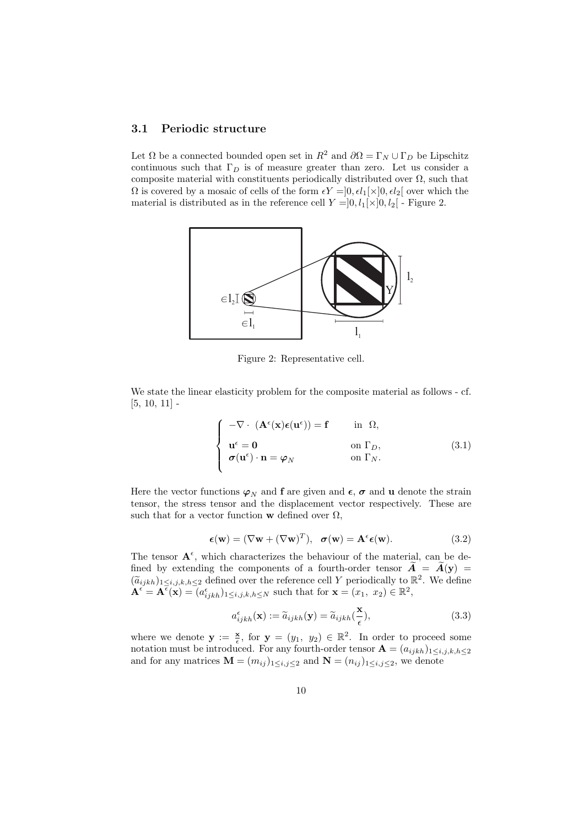#### 3.1 Periodic structure

Let  $\Omega$  be a connected bounded open set in  $R^2$  and  $\partial \Omega = \Gamma_N \cup \Gamma_D$  be Lipschitz continuous such that  $\Gamma_D$  is of measure greater than zero. Let us consider a composite material with constituents periodically distributed over  $\Omega$ , such that  $Ω$  is covered by a mosaic of cells of the form  $εY = ]0, εl_1[x]0, εl_2[$  over which the material is distributed as in the reference cell  $Y=]0, l_1[\times]0, l_2[$  - Figure 2.



Figure 2: Representative cell.

We state the linear elasticity problem for the composite material as follows - cf.  $[5, 10, 11]$  -

$$
\begin{cases}\n-\nabla \cdot (\mathbf{A}^{\epsilon}(\mathbf{x})\boldsymbol{\epsilon}(\mathbf{u}^{\epsilon})) = \mathbf{f} & \text{in } \Omega, \\
\mathbf{u}^{\epsilon} = \mathbf{0} & \text{on } \Gamma_D, \\
\boldsymbol{\sigma}(\mathbf{u}^{\epsilon}) \cdot \mathbf{n} = \boldsymbol{\varphi}_N & \text{on } \Gamma_N.\n\end{cases} (3.1)
$$

Here the vector functions  $\varphi_N$  and **f** are given and  $\epsilon$ ,  $\sigma$  and **u** denote the strain tensor, the stress tensor and the displacement vector respectively. These are such that for a vector function w defined over  $\Omega$ ,

$$
\epsilon(\mathbf{w}) = (\nabla \mathbf{w} + (\nabla \mathbf{w})^T), \quad \sigma(\mathbf{w}) = \mathbf{A}^{\epsilon} \epsilon(\mathbf{w}). \tag{3.2}
$$

The tensor  $A^{\epsilon}$ , which characterizes the behaviour of the material, can be defined by extending the components of a fourth-order tensor  $\tilde{A} = \tilde{A}(y)$  =  $(\widetilde{a}_{ijkh})_{1\leq i,j,k,h\leq 2}$  defined over the reference cell Y periodically to  $\mathbb{R}^2$ . We define  $\mathbf{A}^{\epsilon} = \mathbf{A}^{\bar{\epsilon}}(\mathbf{x}) = (a^{\epsilon}_{ijkh})_{1 \leq i,j,k,h \leq N}$  such that for  $\mathbf{x} = (x_1, x_2) \in \mathbb{R}^2$ ,

$$
a_{ijkh}^{\epsilon}(\mathbf{x}) := \tilde{a}_{ijkh}(\mathbf{y}) = \tilde{a}_{ijkh}(\frac{\mathbf{x}}{\epsilon}),
$$
\n(3.3)

where we denote  $y := \frac{x}{\epsilon}$ , for  $y = (y_1, y_2) \in \mathbb{R}^2$ . In order to proceed some notation must be introduced. For any fourth-order tensor  $\mathbf{A} = (a_{ijkh})_{1 \leq i,j,k,h \leq 2}$ and for any matrices  $\mathbf{M} = (m_{ij})_{1 \leq i,j \leq 2}$  and  $\mathbf{N} = (n_{ij})_{1 \leq i,j \leq 2}$ , we denote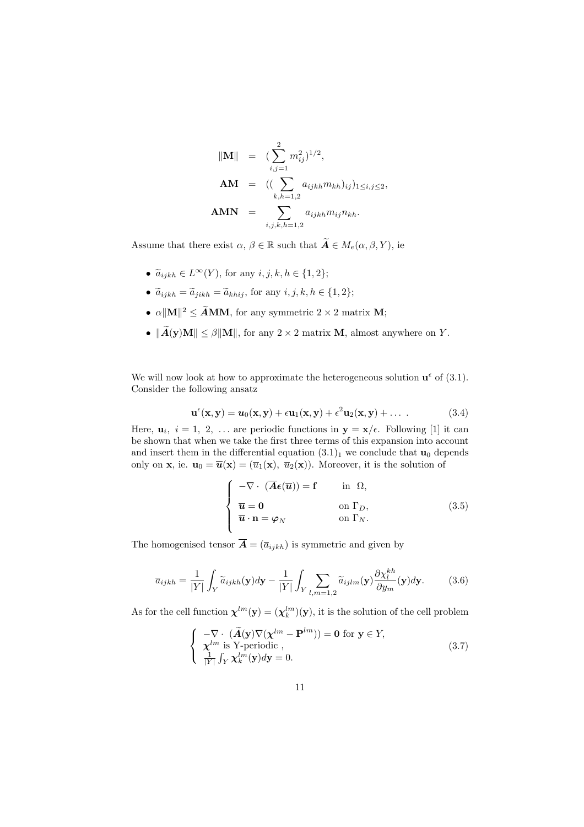$$
\|\mathbf{M}\| = (\sum_{i,j=1}^{2} m_{ij}^{2})^{1/2},
$$
  
\n
$$
\mathbf{AM} = ((\sum_{k,h=1,2} a_{ijkh} m_{kh})_{ij})_{1 \le i,j \le 2},
$$
  
\n
$$
\mathbf{AMN} = \sum_{i,j,k,h=1,2} a_{ijkh} m_{ij} n_{kh}.
$$

Assume that there exist  $\alpha, \beta \in \mathbb{R}$  such that  $\widetilde{A} \in M_e(\alpha, \beta, Y)$ , ie

- $\tilde{a}_{ijkh} \in L^{\infty}(Y)$ , for any  $i, j, k, h \in \{1, 2\};$
- $\tilde{a}_{ijkh} = \tilde{a}_{jikh} = \tilde{a}_{khij}$ , for any  $i, j, k, h \in \{1, 2\};$
- $\alpha \|\mathbf{M}\|^2 \leq \widetilde{\mathbf{A}} \mathbf{M} \mathbf{M}$ , for any symmetric  $2 \times 2$  matrix **M**;
- $\|\widetilde{A}(y)M\| \leq \beta \|M\|$ , for any  $2 \times 2$  matrix M, almost anywhere on Y.

We will now look at how to approximate the heterogeneous solution  $\mathbf{u}^{\epsilon}$  of (3.1). Consider the following ansatz

$$
\mathbf{u}^{\epsilon}(\mathbf{x}, \mathbf{y}) = \mathbf{u}_0(\mathbf{x}, \mathbf{y}) + \epsilon \mathbf{u}_1(\mathbf{x}, \mathbf{y}) + \epsilon^2 \mathbf{u}_2(\mathbf{x}, \mathbf{y}) + \dots
$$
 (3.4)

Here,  $\mathbf{u}_i$ ,  $i = 1, 2, \ldots$  are periodic functions in  $\mathbf{y} = \mathbf{x}/\epsilon$ . Following [1] it can be shown that when we take the first three terms of this expansion into account and insert them in the differential equation  $(3.1)<sub>1</sub>$  we conclude that  $\mathbf{u}_0$  depends only on **x**, ie.  $\mathbf{u}_0 = \overline{\mathbf{u}}(\mathbf{x}) = (\overline{u}_1(\mathbf{x}), \overline{u}_2(\mathbf{x}))$ . Moreover, it is the solution of

$$
\begin{cases}\n-\nabla \cdot (\overline{A} \boldsymbol{\epsilon}(\overline{\boldsymbol{u}})) = \mathbf{f} & \text{in } \Omega, \\
\overline{\boldsymbol{u}} = \mathbf{0} & \text{on } \Gamma_D, \\
\overline{\boldsymbol{u}} \cdot \mathbf{n} = \varphi_N & \text{on } \Gamma_N.\n\end{cases} (3.5)
$$

The homogenised tensor  $\overline{A} = (\overline{a}_{ijkh})$  is symmetric and given by

$$
\overline{a}_{ijkh} = \frac{1}{|Y|} \int_Y \widetilde{a}_{ijkh}(\mathbf{y}) d\mathbf{y} - \frac{1}{|Y|} \int_Y \sum_{l,m=1,2} \widetilde{a}_{ijlm}(\mathbf{y}) \frac{\partial \chi_l^{kh}}{\partial y_m}(\mathbf{y}) d\mathbf{y}.
$$
 (3.6)

As for the cell function  $\chi^{lm}(\mathbf{y}) = (\chi_k^{lm})(\mathbf{y})$ , it is the solution of the cell problem

$$
\begin{cases}\n-\nabla \cdot (\widetilde{\mathbf{A}}(\mathbf{y}) \nabla (\chi^{lm} - \mathbf{P}^{lm})) = \mathbf{0} \text{ for } \mathbf{y} \in Y, \\
\chi^{lm} \text{ is } \text{Y-periodic }, \\
\frac{1}{|Y|} \int_Y \chi^{lm}_{k}(\mathbf{y}) d\mathbf{y} = 0.\n\end{cases} \tag{3.7}
$$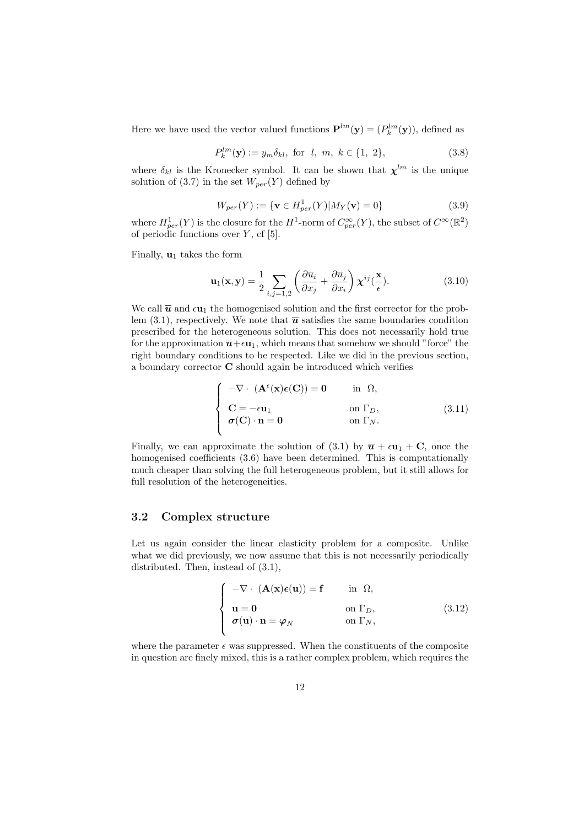Here we have used the vector valued functions  $\mathbf{P}^{lm}(\mathbf{y}) = (P_k^{lm}(\mathbf{y}))$ , defined as

$$
P_k^{lm}(\mathbf{y}) := y_m \delta_{kl}, \text{ for } l, m, k \in \{1, 2\},
$$
\n(3.8)

where  $\delta_{kl}$  is the Kronecker symbol. It can be shown that  $\chi^{lm}$  is the unique solution of (3.7) in the set  $W_{per}(Y)$  defined by

$$
W_{per}(Y) := \{ \mathbf{v} \in H_{per}^1(Y) | M_Y(\mathbf{v}) = 0 \}
$$
\n(3.9)

where  $H_{per}^1(Y)$  is the closure for the  $H^1$ -norm of  $C_{per}^{\infty}(Y)$ , the subset of  $C^{\infty}(\mathbb{R}^2)$ of periodic functions over  $Y$ , cf [5].

Finally,  $\mathbf{u}_1$  takes the form

$$
\mathbf{u}_{1}(\mathbf{x}, \mathbf{y}) = \frac{1}{2} \sum_{i,j=1,2} \left( \frac{\partial \overline{u}_{i}}{\partial x_{j}} + \frac{\partial \overline{u}_{j}}{\partial x_{i}} \right) \chi^{ij}(\frac{\mathbf{x}}{\epsilon}).
$$
 (3.10)

We call  $\bar{u}$  and  $\epsilon u_1$  the homogenised solution and the first corrector for the problem (3.1), respectively. We note that  $\bar{u}$  satisfies the same boundaries condition prescribed for the heterogeneous solution. This does not necessarily hold true for the approximation  $\overline{\mathbf{u}}+\epsilon\mathbf{u}_1$ , which means that somehow we should "force" the right boundary conditions to be respected. Like we did in the previous section, a boundary corrector C should again be introduced which verifies

$$
\begin{cases}\n-\nabla \cdot (\mathbf{A}^{\epsilon}(\mathbf{x})\epsilon(\mathbf{C})) = \mathbf{0} & \text{in } \Omega, \\
\mathbf{C} = -\epsilon \mathbf{u}_1 & \text{on } \Gamma_D, \\
\sigma(\mathbf{C}) \cdot \mathbf{n} = \mathbf{0} & \text{on } \Gamma_N.\n\end{cases}
$$
\n(3.11)

Finally, we can approximate the solution of (3.1) by  $\bar{u} + \epsilon u_1 + C$ , once the homogenised coefficients  $(3.6)$  have been determined. This is computationally much cheaper than solving the full heterogeneous problem, but it still allows for full resolution of the heterogeneities.

#### 3.2 Complex structure

Let us again consider the linear elasticity problem for a composite. Unlike what we did previously, we now assume that this is not necessarily periodically distributed. Then, instead of (3.1),

$$
\begin{cases}\n-\nabla \cdot (\mathbf{A}(\mathbf{x})\boldsymbol{\epsilon}(\mathbf{u})) = \mathbf{f} & \text{in } \Omega, \\
\mathbf{u} = \mathbf{0} & \text{on } \Gamma_D, \\
\boldsymbol{\sigma}(\mathbf{u}) \cdot \mathbf{n} = \boldsymbol{\varphi}_N & \text{on } \Gamma_N,\n\end{cases}
$$
\n(3.12)

where the parameter  $\epsilon$  was suppressed. When the constituents of the composite in question are finely mixed, this is a rather complex problem, which requires the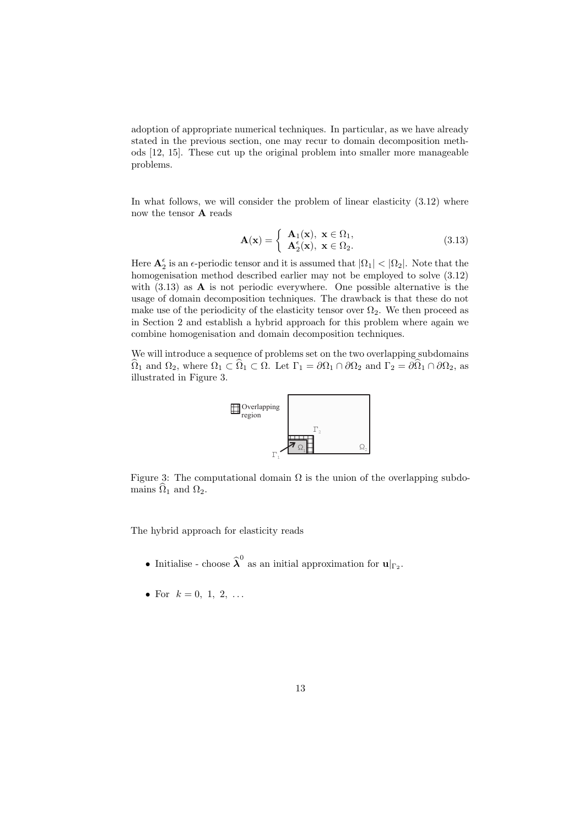adoption of appropriate numerical techniques. In particular, as we have already stated in the previous section, one may recur to domain decomposition methods [12, 15]. These cut up the original problem into smaller more manageable problems.

In what follows, we will consider the problem of linear elasticity (3.12) where now the tensor A reads

$$
\mathbf{A}(\mathbf{x}) = \begin{cases} \mathbf{A}_1(\mathbf{x}), & \mathbf{x} \in \Omega_1, \\ \mathbf{A}_2^{\epsilon}(\mathbf{x}), & \mathbf{x} \in \Omega_2. \end{cases}
$$
(3.13)

Here  $\mathbf{A}_2^{\epsilon}$  is an  $\epsilon$ -periodic tensor and it is assumed that  $|\Omega_1| < |\Omega_2|$ . Note that the homogenisation method described earlier may not be employed to solve (3.12) with  $(3.13)$  as **A** is not periodic everywhere. One possible alternative is the usage of domain decomposition techniques. The drawback is that these do not make use of the periodicity of the elasticity tensor over  $\Omega_2$ . We then proceed as in Section 2 and establish a hybrid approach for this problem where again we combine homogenisation and domain decomposition techniques.

We will introduce a sequence of problems set on the two overlapping subdomains  $\widehat{\Omega}_1$  and  $\Omega_2$ , where  $\Omega_1 \subset \widehat{\Omega}_1 \subset \Omega$ . Let  $\Gamma_1 = \partial \Omega_1 \cap \partial \Omega_2$  and  $\Gamma_2 = \partial \Omega_1 \cap \partial \Omega_2$ , as illustrated in Figure 3.



Figure 3: The computational domain  $\Omega$  is the union of the overlapping subdomains  $\widehat{\Omega}_1$  and  $\Omega_2$ .

The hybrid approach for elasticity reads

- Initialise choose  $\hat{\lambda}^0$  as an initial approximation for  $\mathbf{u}|_{\Gamma_2}$ .
- For  $k = 0, 1, 2, ...$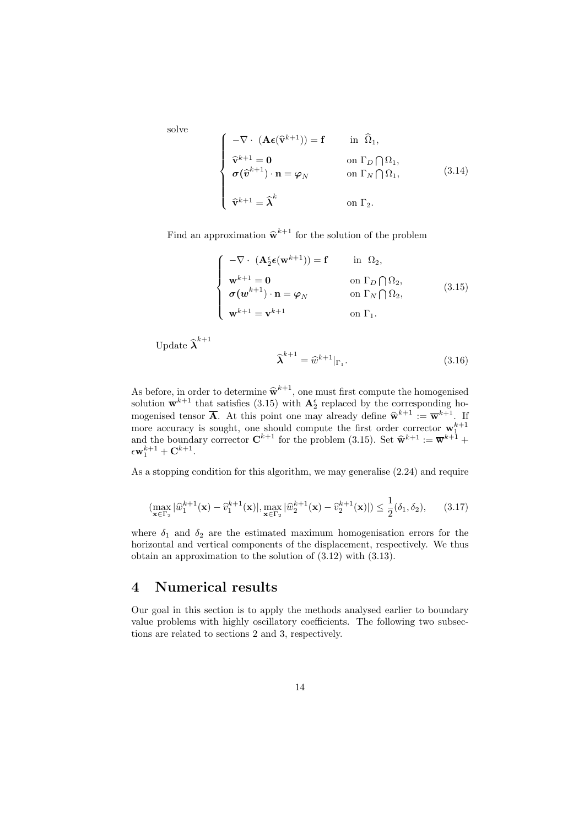solve

$$
\begin{cases}\n-\nabla \cdot (\mathbf{A}\boldsymbol{\epsilon}(\widehat{\mathbf{v}}^{k+1})) = \mathbf{f} & \text{in } \widehat{\Omega}_1, \\
\widehat{\mathbf{v}}^{k+1} = \mathbf{0} & \text{on } \Gamma_D \bigcap \Omega_1, \\
\sigma(\widehat{\mathbf{v}}^{k+1}) \cdot \mathbf{n} = \varphi_N & \text{on } \Gamma_N \bigcap \Omega_1, \\
\widehat{\mathbf{v}}^{k+1} = \widehat{\boldsymbol{\lambda}}^k & \text{on } \Gamma_2.\n\end{cases}
$$
\n(3.14)

Find an approximation  $\widehat{\mathbf{w}}^{k+1}$  for the solution of the problem

$$
\begin{cases}\n-\nabla \cdot (\mathbf{A}_{2}^{\epsilon} \boldsymbol{\epsilon}(\mathbf{w}^{k+1})) = \mathbf{f} & \text{in } \Omega_{2}, \\
\mathbf{w}^{k+1} = \mathbf{0} & \text{on } \Gamma_{D} \cap \Omega_{2}, \\
\boldsymbol{\sigma}(\mathbf{w}^{k+1}) \cdot \mathbf{n} = \boldsymbol{\varphi}_{N} & \text{on } \Gamma_{N} \cap \Omega_{2}, \\
\mathbf{w}^{k+1} = \mathbf{v}^{k+1} & \text{on } \Gamma_{1}.\n\end{cases}
$$
\n(3.15)

Update  $\widehat{\bm{\lambda}}^{k+1}$ 

$$
\widehat{\boldsymbol{\lambda}}^{k+1} = \widehat{w}^{k+1}|_{\Gamma_1}.\tag{3.16}
$$

As before, in order to determine  $\hat{\mathbf{w}}^{k+1}$ , one must first compute the homogenised solution  $\overline{\mathbf{w}}^{k+1}$  that satisfies (3.15) with  $\mathbf{A}_{2}^{\epsilon}$  replaced by the corresponding homogenised tensor  $\overline{A}$ . At this point one may already define  $\widehat{\mathbf{w}}^{k+1} := \overline{\mathbf{w}}^{k+1}$ . If more accuracy is sought, one should compute the first order corrector  $\mathbf{w}_{1}^{k+1}$  and the boundary corrector  $\mathbf{C}^{k+1}$  for the problem (3.15). Set  $\hat{\mathbf{w}}^{k+1} := \overline{\mathbf{w}}^{k+1} + \overline{\mathbf{w}}^{k+1}$  $\epsilon \mathbf{w}^{k+1}_1 + \mathbf{C}^{k+1}.$ 

As a stopping condition for this algorithm, we may generalise (2.24) and require

$$
(\max_{\mathbf{x}\in\Gamma_2}|\widehat{w}_1^{k+1}(\mathbf{x})-\widehat{v}_1^{k+1}(\mathbf{x})|,\max_{\mathbf{x}\in\Gamma_2}|\widehat{w}_2^{k+1}(\mathbf{x})-\widehat{v}_2^{k+1}(\mathbf{x})|)\leq \frac{1}{2}(\delta_1,\delta_2),\qquad(3.17)
$$

where  $\delta_1$  and  $\delta_2$  are the estimated maximum homogenisation errors for the horizontal and vertical components of the displacement, respectively. We thus obtain an approximation to the solution of (3.12) with (3.13).

# 4 Numerical results

Our goal in this section is to apply the methods analysed earlier to boundary value problems with highly oscillatory coefficients. The following two subsections are related to sections 2 and 3, respectively.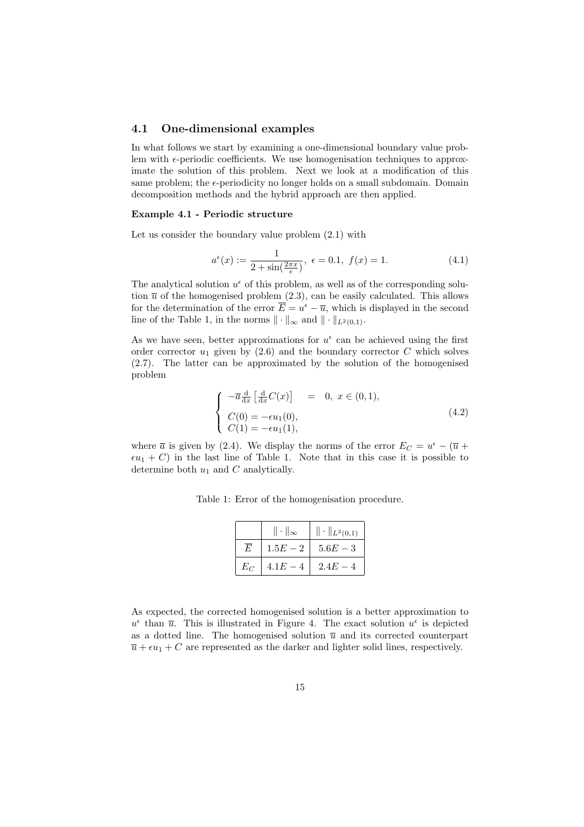#### 4.1 One-dimensional examples

In what follows we start by examining a one-dimensional boundary value problem with  $\epsilon$ -periodic coefficients. We use homogenisation techniques to approximate the solution of this problem. Next we look at a modification of this same problem; the  $\epsilon$ -periodicity no longer holds on a small subdomain. Domain decomposition methods and the hybrid approach are then applied.

#### Example 4.1 - Periodic structure

Let us consider the boundary value problem (2.1) with

$$
a^{\epsilon}(x) := \frac{1}{2 + \sin(\frac{2\pi x}{\epsilon})}, \ \epsilon = 0.1, \ f(x) = 1.
$$
 (4.1)

The analytical solution  $u^{\epsilon}$  of this problem, as well as of the corresponding solution  $\bar{u}$  of the homogenised problem (2.3), can be easily calculated. This allows for the determination of the error  $\overline{E} = u^{\epsilon} - \overline{u}$ , which is displayed in the second line of the Table 1, in the norms  $\|\cdot\|_{\infty}$  and  $\|\cdot\|_{L^2(0,1)}$ .

As we have seen, better approximations for  $u^{\epsilon}$  can be achieved using the first order corrector  $u_1$  given by  $(2.6)$  and the boundary corrector C which solves (2.7). The latter can be approximated by the solution of the homogenised problem

$$
\begin{cases}\n-\overline{a}\frac{\mathrm{d}}{\mathrm{d}x}\left[\frac{\mathrm{d}}{\mathrm{d}x}C(x)\right] & = 0, \ x \in (0,1), \\
C(0) = -\epsilon u_1(0), \\
C(1) = -\epsilon u_1(1),\n\end{cases} (4.2)
$$

where  $\bar{a}$  is given by (2.4). We display the norms of the error  $E_C = u^{\epsilon} - (\bar{u} +$  $\epsilon u_1 + C$ ) in the last line of Table 1. Note that in this case it is possible to determine both  $u_1$  and  $C$  analytically.

|  |  | Table 1: Error of the homogenisation procedure. |  |
|--|--|-------------------------------------------------|--|
|  |  |                                                 |  |

|       | $\ \cdot\ _{\infty}$ | $\ \cdot\ _{L^2(0,1)}$ |
|-------|----------------------|------------------------|
| F,    | $1.5E - 2$           | $5.6E - 3$             |
| $E_C$ | $4.1E - 4$           | $2.4E - 4$             |

As expected, the corrected homogenised solution is a better approximation to  $u^{\epsilon}$  than  $\bar{u}$ . This is illustrated in Figure 4. The exact solution  $u^{\epsilon}$  is depicted as a dotted line. The homogenised solution  $\overline{u}$  and its corrected counterpart  $\overline{u} + \epsilon u_1 + C$  are represented as the darker and lighter solid lines, respectively.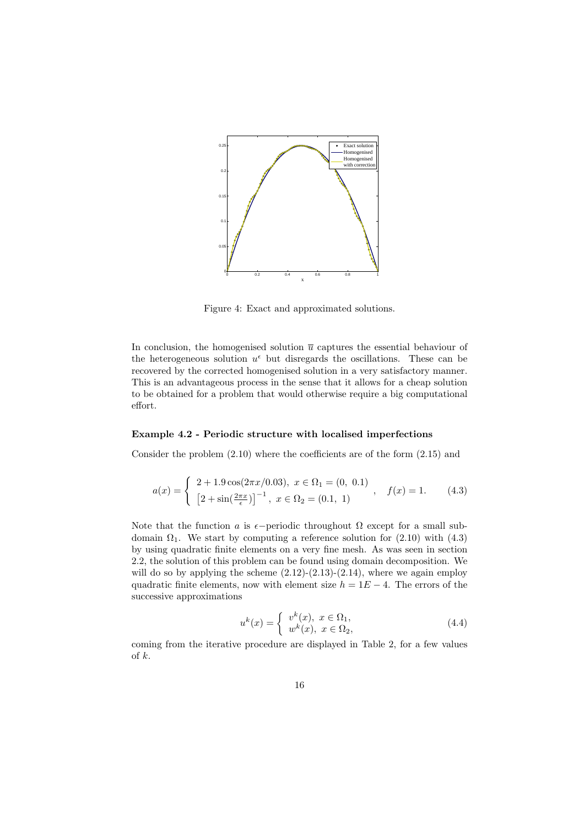

Figure 4: Exact and approximated solutions.

In conclusion, the homogenised solution  $\bar{u}$  captures the essential behaviour of the heterogeneous solution  $u^{\epsilon}$  but disregards the oscillations. These can be recovered by the corrected homogenised solution in a very satisfactory manner. This is an advantageous process in the sense that it allows for a cheap solution to be obtained for a problem that would otherwise require a big computational effort.

#### Example 4.2 - Periodic structure with localised imperfections

Consider the problem (2.10) where the coefficients are of the form (2.15) and

$$
a(x) = \begin{cases} 2 + 1.9 \cos(2\pi x/0.03), & x \in \Omega_1 = (0, 0.1) \\ \left[2 + \sin(\frac{2\pi x}{\epsilon})\right]^{-1}, & x \in \Omega_2 = (0.1, 1) \end{cases}, \quad f(x) = 1.
$$
 (4.3)

Note that the function a is  $\epsilon$ −periodic throughout  $\Omega$  except for a small subdomain  $\Omega_1$ . We start by computing a reference solution for (2.10) with (4.3) by using quadratic finite elements on a very fine mesh. As was seen in section 2.2, the solution of this problem can be found using domain decomposition. We will do so by applying the scheme  $(2.12)-(2.13)-(2.14)$ , where we again employ quadratic finite elements, now with element size  $h = 1E - 4$ . The errors of the successive approximations

$$
u^{k}(x) = \begin{cases} v^{k}(x), & x \in \Omega_1, \\ w^{k}(x), & x \in \Omega_2, \end{cases}
$$
\n(4.4)

coming from the iterative procedure are displayed in Table 2, for a few values of k.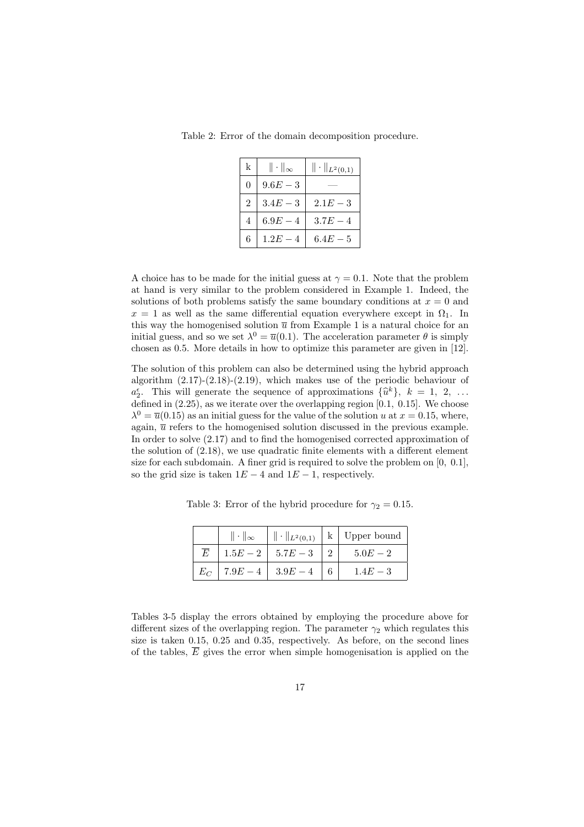Table 2: Error of the domain decomposition procedure.

| k              | $\ \cdot\ _{\infty}$ | $\ \cdot\ _{L^2(0,1)}$ |
|----------------|----------------------|------------------------|
| 0              | $9.6E - 3$           |                        |
| 2              | $3.4E - 3$           | $2.1E - 3$             |
| $\overline{4}$ | $6.9E - 4$           | $3.7E - 4$             |
| 6              | $1.2E - 4$           | $6.4E - 5$             |

A choice has to be made for the initial guess at  $\gamma = 0.1$ . Note that the problem at hand is very similar to the problem considered in Example 1. Indeed, the solutions of both problems satisfy the same boundary conditions at  $x = 0$  and  $x = 1$  as well as the same differential equation everywhere except in  $\Omega_1$ . In this way the homogenised solution  $\overline{u}$  from Example 1 is a natural choice for an initial guess, and so we set  $\lambda^0 = \overline{u}(0.1)$ . The acceleration parameter  $\theta$  is simply chosen as 0.5. More details in how to optimize this parameter are given in [12].

The solution of this problem can also be determined using the hybrid approach algorithm  $(2.17)-(2.18)-(2.19)$ , which makes use of the periodic behaviour of  $a_2^{\epsilon}$ . This will generate the sequence of approximations  $\{\hat{u}^k\}, k = 1, 2, ...$ defined in (2.25), as we iterate over the overlapping region [0.1, 0.15]. We choose  $\lambda^{0} = \overline{u}(0.15)$  as an initial guess for the value of the solution u at  $x = 0.15$ , where, again,  $\bar{u}$  refers to the homogenised solution discussed in the previous example. In order to solve (2.17) and to find the homogenised corrected approximation of the solution of (2.18), we use quadratic finite elements with a different element size for each subdomain. A finer grid is required to solve the problem on  $[0, 0.1]$ , so the grid size is taken  $1E - 4$  and  $1E - 1$ , respectively.

|                | $\ \cdot\ _{\infty}$ | $\ \cdot\ _{L^2(0,1)}$ | k   Upper bound |
|----------------|----------------------|------------------------|-----------------|
| $\overline{E}$ |                      | $1.5E-2$   $5.7E-3$    | $5.0E - 2$      |
| $E_C$          | $7.9E-4$   $3.9E-4$  |                        | $1.4E - 3$      |

Table 3: Error of the hybrid procedure for  $\gamma_2 = 0.15$ .

Tables 3-5 display the errors obtained by employing the procedure above for different sizes of the overlapping region. The parameter  $\gamma_2$  which regulates this size is taken 0.15, 0.25 and 0.35, respectively. As before, on the second lines of the tables,  $\overline{E}$  gives the error when simple homogenisation is applied on the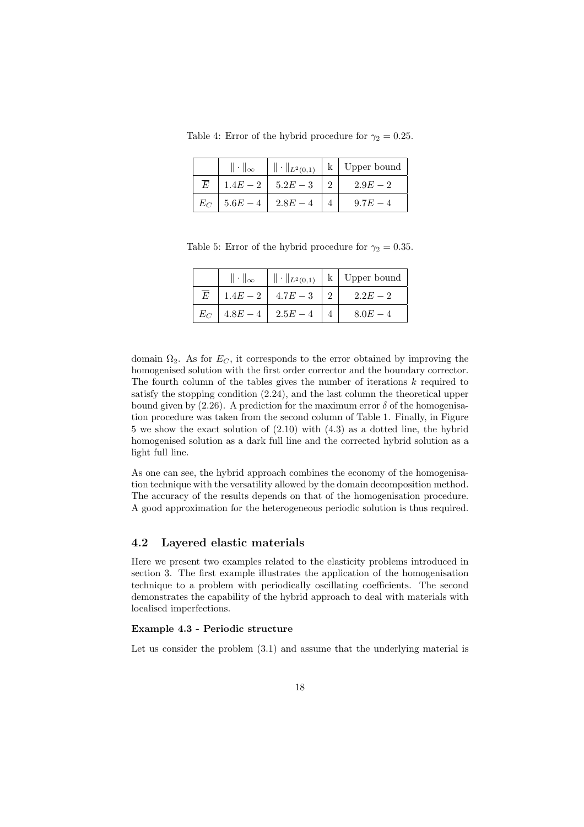Table 4: Error of the hybrid procedure for  $\gamma_2 = 0.25$ .

|           | $\ \cdot\ _{\infty}$ |                               | $\  \cdot \ _{L^2(0,1)} \  k \ $ Upper bound |
|-----------|----------------------|-------------------------------|----------------------------------------------|
| $\bar{E}$ |                      | $1.4E-2$   $5.2E-3$           | $2.9E - 2$                                   |
|           |                      | $E_C$   5.6 $E-4$   2.8 $E-4$ | $9.7E - 4$                                   |

Table 5: Error of the hybrid procedure for  $\gamma_2 = 0.35$ .

|                | $\ \cdot\ _{\infty}$          |                    | $\  \cdot \ _{L^2(0,1)} \  k \ $ Upper bound |
|----------------|-------------------------------|--------------------|----------------------------------------------|
| $\overline{E}$ |                               | $1.4E-2$ 4.7 $E-3$ | $2.2E - 2$                                   |
|                | $E_C$   4.8 $E-4$   2.5 $E-4$ |                    | $8.0E - 4$                                   |

domain  $\Omega_2$ . As for  $E_C$ , it corresponds to the error obtained by improving the homogenised solution with the first order corrector and the boundary corrector. The fourth column of the tables gives the number of iterations  $k$  required to satisfy the stopping condition (2.24), and the last column the theoretical upper bound given by (2.26). A prediction for the maximum error  $\delta$  of the homogenisation procedure was taken from the second column of Table 1. Finally, in Figure 5 we show the exact solution of (2.10) with (4.3) as a dotted line, the hybrid homogenised solution as a dark full line and the corrected hybrid solution as a light full line.

As one can see, the hybrid approach combines the economy of the homogenisation technique with the versatility allowed by the domain decomposition method. The accuracy of the results depends on that of the homogenisation procedure. A good approximation for the heterogeneous periodic solution is thus required.

#### 4.2 Layered elastic materials

Here we present two examples related to the elasticity problems introduced in section 3. The first example illustrates the application of the homogenisation technique to a problem with periodically oscillating coefficients. The second demonstrates the capability of the hybrid approach to deal with materials with localised imperfections.

#### Example 4.3 - Periodic structure

Let us consider the problem  $(3.1)$  and assume that the underlying material is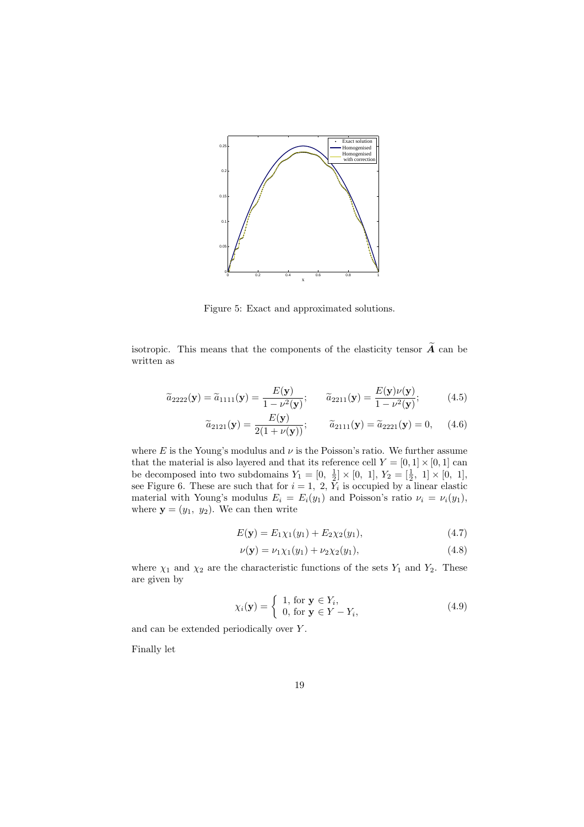

Figure 5: Exact and approximated solutions.

isotropic. This means that the components of the elasticity tensor  $\widetilde{A}$  can be written as

$$
\widetilde{a}_{2222}(\mathbf{y}) = \widetilde{a}_{1111}(\mathbf{y}) = \frac{E(\mathbf{y})}{1 - \nu^2(\mathbf{y})}; \qquad \widetilde{a}_{2211}(\mathbf{y}) = \frac{E(\mathbf{y})\nu(\mathbf{y})}{1 - \nu^2(\mathbf{y})};
$$
(4.5)

$$
\widetilde{a}_{2121}(\mathbf{y}) = \frac{E(\mathbf{y})}{2(1 + \nu(\mathbf{y}))}; \qquad \widetilde{a}_{2111}(\mathbf{y}) = \widetilde{a}_{2221}(\mathbf{y}) = 0,
$$
\n(4.6)

where E is the Young's modulus and  $\nu$  is the Poisson's ratio. We further assume that the material is also layered and that its reference cell  $Y = [0, 1] \times [0, 1]$  can be decomposed into two subdomains  $Y_1 = [0, \frac{1}{2}] \times [0, 1], Y_2 = [\frac{1}{2}, 1] \times [0, 1],$ see Figure 6. These are such that for  $i = 1, 2, Y_i$  is occupied by a linear elastic material with Young's modulus  $E_i = E_i(y_1)$  and Poisson's ratio  $\nu_i = \nu_i(y_1)$ , where  $y = (y_1, y_2)$ . We can then write

$$
E(\mathbf{y}) = E_1 \chi_1(y_1) + E_2 \chi_2(y_1), \tag{4.7}
$$

$$
\nu(\mathbf{y}) = \nu_1 \chi_1(y_1) + \nu_2 \chi_2(y_1), \tag{4.8}
$$

where  $\chi_1$  and  $\chi_2$  are the characteristic functions of the sets  $Y_1$  and  $Y_2$ . These are given by

$$
\chi_i(\mathbf{y}) = \begin{cases} 1, \text{ for } \mathbf{y} \in Y_i, \\ 0, \text{ for } \mathbf{y} \in Y - Y_i, \end{cases}
$$
 (4.9)

and can be extended periodically over Y.

Finally let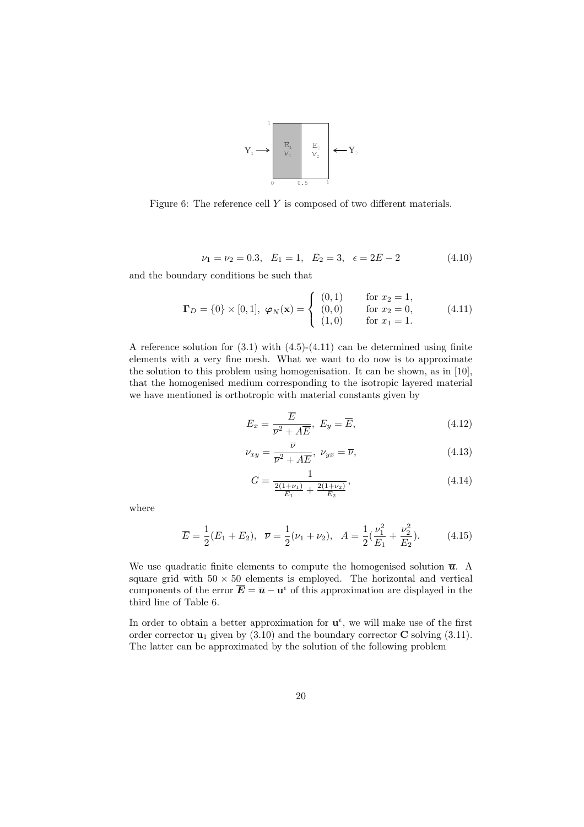

Figure 6: The reference cell Y is composed of two different materials.

$$
\nu_1 = \nu_2 = 0.3, \quad E_1 = 1, \quad E_2 = 3, \quad \epsilon = 2E - 2 \tag{4.10}
$$

and the boundary conditions be such that

$$
\Gamma_D = \{0\} \times [0, 1], \ \varphi_N(\mathbf{x}) = \begin{cases} (0, 1) & \text{for } x_2 = 1, \\ (0, 0) & \text{for } x_2 = 0, \\ (1, 0) & \text{for } x_1 = 1. \end{cases} (4.11)
$$

A reference solution for (3.1) with (4.5)-(4.11) can be determined using finite elements with a very fine mesh. What we want to do now is to approximate the solution to this problem using homogenisation. It can be shown, as in [10], that the homogenised medium corresponding to the isotropic layered material we have mentioned is orthotropic with material constants given by

$$
E_x = \frac{\overline{E}}{\overline{\nu}^2 + A\overline{E}}, \ E_y = \overline{E}, \tag{4.12}
$$

$$
\nu_{xy} = \frac{\overline{\nu}}{\overline{\nu}^2 + A\overline{E}}, \ \nu_{yx} = \overline{\nu}, \tag{4.13}
$$

$$
G = \frac{1}{\frac{2(1+\nu_1)}{E_1} + \frac{2(1+\nu_2)}{E_2}},\tag{4.14}
$$

where

$$
\overline{E} = \frac{1}{2}(E_1 + E_2), \quad \overline{\nu} = \frac{1}{2}(\nu_1 + \nu_2), \quad A = \frac{1}{2}(\frac{\nu_1^2}{E_1} + \frac{\nu_2^2}{E_2}).\tag{4.15}
$$

We use quadratic finite elements to compute the homogenised solution  $\overline{u}$ . A square grid with  $50 \times 50$  elements is employed. The horizontal and vertical components of the error  $\overline{E} = \overline{u} - u^{\epsilon}$  of this approximation are displayed in the third line of Table 6.

In order to obtain a better approximation for  $\mathbf{u}^{\epsilon}$ , we will make use of the first order corrector  $\mathbf{u}_1$  given by (3.10) and the boundary corrector **C** solving (3.11). The latter can be approximated by the solution of the following problem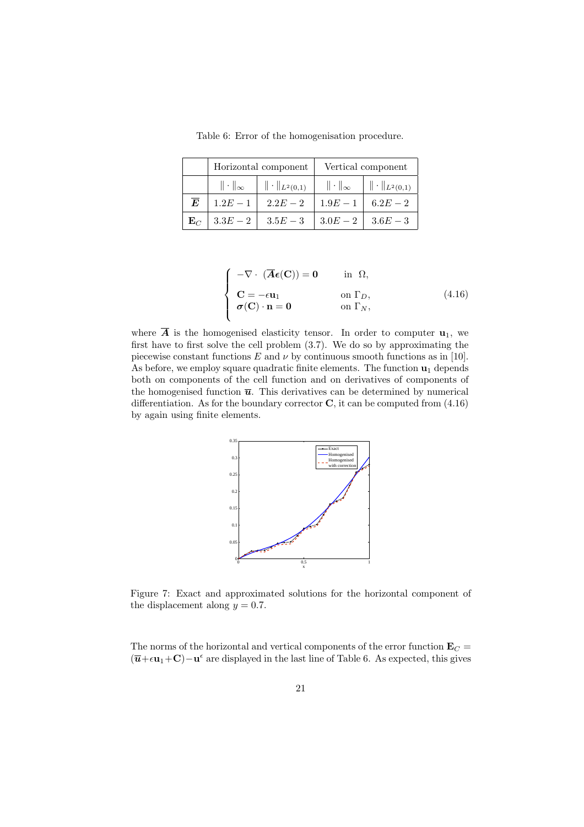|                | Horizontal component                           |            | Vertical component   |                        |  |
|----------------|------------------------------------------------|------------|----------------------|------------------------|--|
|                | $\ \cdot\ _{L^2(0,1)}$<br>$\ \cdot\ _{\infty}$ |            | $\ \cdot\ _{\infty}$ | $\ \cdot\ _{L^2(0,1)}$ |  |
| $\overline{E}$ | $1.2E - 1$                                     | $2.2E - 2$ | $1.9E - 1$           | $6.2E - 2$             |  |
| $\mathbf{E}_C$ | $3.3E-2$                                       | $3.5E-3$   |                      | $3.0E-2$   $3.6E-3$    |  |

Table 6: Error of the homogenisation procedure.

$$
\begin{cases}\n-\nabla \cdot (\overline{\mathbf{A}}\boldsymbol{\epsilon}(\mathbf{C})) = \mathbf{0} & \text{in } \Omega, \\
\mathbf{C} = -\epsilon \mathbf{u}_1 & \text{on } \Gamma_D, \\
\boldsymbol{\sigma}(\mathbf{C}) \cdot \mathbf{n} = \mathbf{0} & \text{on } \Gamma_N,\n\end{cases} (4.16)
$$

where  $\overline{A}$  is the homogenised elasticity tensor. In order to computer  $\mathbf{u}_1$ , we first have to first solve the cell problem (3.7). We do so by approximating the piecewise constant functions E and  $\nu$  by continuous smooth functions as in [10]. As before, we employ square quadratic finite elements. The function  $\mathbf{u}_1$  depends both on components of the cell function and on derivatives of components of the homogenised function  $\overline{u}$ . This derivatives can be determined by numerical differentiation. As for the boundary corrector  $C$ , it can be computed from  $(4.16)$ by again using finite elements.



Figure 7: Exact and approximated solutions for the horizontal component of the displacement along  $y = 0.7$ .

The norms of the horizontal and vertical components of the error function  $\mathbf{E}_C =$  $(\overline{u}+\epsilon u_1+C)-u^{\epsilon}$  are displayed in the last line of Table 6. As expected, this gives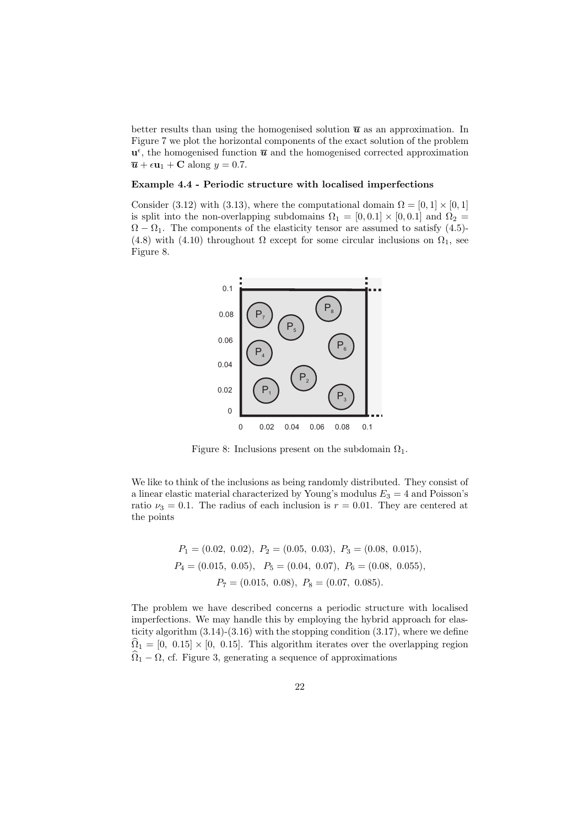better results than using the homogenised solution  $\bar{u}$  as an approximation. In Figure 7 we plot the horizontal components of the exact solution of the problem  $\mathbf{u}^{\epsilon}$ , the homogenised function  $\overline{\mathbf{u}}$  and the homogenised corrected approximation  $\overline{u} + \epsilon u_1 + C$  along  $y = 0.7$ .

#### Example 4.4 - Periodic structure with localised imperfections

Consider (3.12) with (3.13), where the computational domain  $\Omega = [0, 1] \times [0, 1]$ is split into the non-overlapping subdomains  $\Omega_1 = [0, 0.1] \times [0, 0.1]$  and  $\Omega_2 =$  $\Omega - \Omega_1$ . The components of the elasticity tensor are assumed to satisfy (4.5)-(4.8) with (4.10) throughout  $\Omega$  except for some circular inclusions on  $\Omega_1$ , see Figure 8.



Figure 8: Inclusions present on the subdomain  $\Omega_1$ .

We like to think of the inclusions as being randomly distributed. They consist of a linear elastic material characterized by Young's modulus  $E_3 = 4$  and Poisson's ratio  $\nu_3 = 0.1$ . The radius of each inclusion is  $r = 0.01$ . They are centered at the points

$$
P_1 = (0.02, 0.02), P_2 = (0.05, 0.03), P_3 = (0.08, 0.015),
$$
  
\n
$$
P_4 = (0.015, 0.05), P_5 = (0.04, 0.07), P_6 = (0.08, 0.055),
$$
  
\n
$$
P_7 = (0.015, 0.08), P_8 = (0.07, 0.085).
$$

The problem we have described concerns a periodic structure with localised imperfections. We may handle this by employing the hybrid approach for elasticity algorithm (3.14)-(3.16) with the stopping condition (3.17), where we define  $\hat{\Omega}_1 = [0, 0.15] \times [0, 0.15]$ . This algorithm iterates over the overlapping region  $\Omega_1 - \Omega$ , cf. Figure 3, generating a sequence of approximations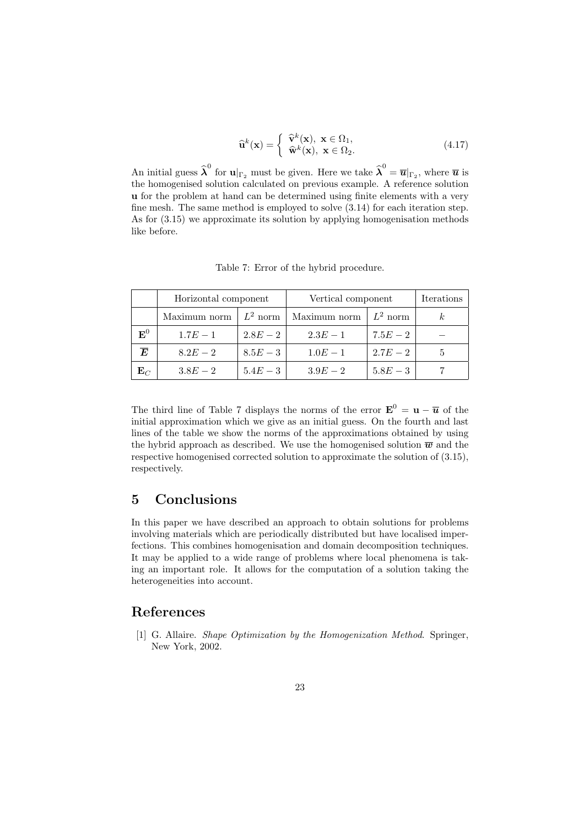$$
\widehat{\mathbf{u}}^{k}(\mathbf{x}) = \begin{cases} \widehat{\mathbf{v}}^{k}(\mathbf{x}), \ \mathbf{x} \in \Omega_1, \\ \widehat{\mathbf{w}}^{k}(\mathbf{x}), \ \mathbf{x} \in \Omega_2. \end{cases}
$$
(4.17)

An initial guess  $\hat{\lambda}^0$  for  $\mathbf{u}|_{\Gamma_2}$  must be given. Here we take  $\hat{\lambda}^0 = \overline{\mathbf{u}}|_{\Gamma_2}$ , where  $\overline{\mathbf{u}}$  is the homogenised solution calculated on previous example. A reference solution u for the problem at hand can be determined using finite elements with a very fine mesh. The same method is employed to solve (3.14) for each iteration step. As for (3.15) we approximate its solution by applying homogenisation methods like before.

|                | Horizontal component |            | Vertical component | Iterations |  |
|----------------|----------------------|------------|--------------------|------------|--|
|                | Maximum norm         | $L^2$ norm | Maximum norm       | $L^2$ norm |  |
| ${\bf E}^0$    | $1.7E - 1$           | $2.8E - 2$ | $2.3E - 1$         | $7.5E - 2$ |  |
| $\bm{E}$       | $8.2E - 2$           | $8.5E-3$   | $1.0E - 1$         | $2.7E - 2$ |  |
| $\mathbf{E}_C$ | $3.8E - 2$           | $5.4E - 3$ | $3.9E - 2$         | $5.8E - 3$ |  |

Table 7: Error of the hybrid procedure.

The third line of Table 7 displays the norms of the error  $\mathbf{E}^0 = \mathbf{u} - \overline{\mathbf{u}}$  of the initial approximation which we give as an initial guess. On the fourth and last lines of the table we show the norms of the approximations obtained by using the hybrid approach as described. We use the homogenised solution  $\overline{w}$  and the respective homogenised corrected solution to approximate the solution of (3.15), respectively.

# 5 Conclusions

In this paper we have described an approach to obtain solutions for problems involving materials which are periodically distributed but have localised imperfections. This combines homogenisation and domain decomposition techniques. It may be applied to a wide range of problems where local phenomena is taking an important role. It allows for the computation of a solution taking the heterogeneities into account.

## References

[1] G. Allaire. Shape Optimization by the Homogenization Method. Springer, New York, 2002.